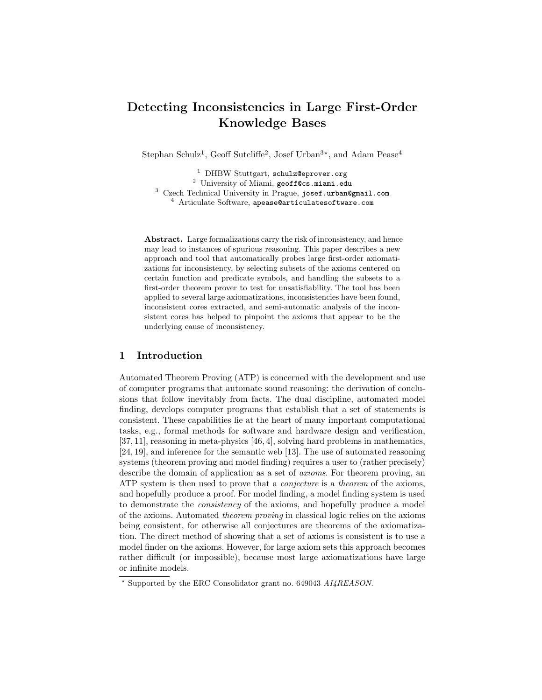# Detecting Inconsistencies in Large First-Order Knowledge Bases

Stephan Schulz<sup>1</sup>, Geoff Sutcliffe<sup>2</sup>, Josef Urban<sup>3\*</sup>, and Adam Pease<sup>4</sup>

<sup>1</sup> DHBW Stuttgart, schulz@eprover.org

<sup>2</sup> University of Miami, geoff@cs.miami.edu

<sup>3</sup> Czech Technical University in Prague, josef.urban@gmail.com

<sup>4</sup> Articulate Software, apease@articulatesoftware.com

Abstract. Large formalizations carry the risk of inconsistency, and hence may lead to instances of spurious reasoning. This paper describes a new approach and tool that automatically probes large first-order axiomatizations for inconsistency, by selecting subsets of the axioms centered on certain function and predicate symbols, and handling the subsets to a first-order theorem prover to test for unsatisfiability. The tool has been applied to several large axiomatizations, inconsistencies have been found, inconsistent cores extracted, and semi-automatic analysis of the inconsistent cores has helped to pinpoint the axioms that appear to be the underlying cause of inconsistency.

# 1 Introduction

Automated Theorem Proving (ATP) is concerned with the development and use of computer programs that automate sound reasoning: the derivation of conclusions that follow inevitably from facts. The dual discipline, automated model finding, develops computer programs that establish that a set of statements is consistent. These capabilities lie at the heart of many important computational tasks, e.g., formal methods for software and hardware design and verification, [37, 11], reasoning in meta-physics [46, 4], solving hard problems in mathematics, [24, 19], and inference for the semantic web [13]. The use of automated reasoning systems (theorem proving and model finding) requires a user to (rather precisely) describe the domain of application as a set of axioms. For theorem proving, an ATP system is then used to prove that a *conjecture* is a *theorem* of the axioms, and hopefully produce a proof. For model finding, a model finding system is used to demonstrate the consistency of the axioms, and hopefully produce a model of the axioms. Automated theorem proving in classical logic relies on the axioms being consistent, for otherwise all conjectures are theorems of the axiomatization. The direct method of showing that a set of axioms is consistent is to use a model finder on the axioms. However, for large axiom sets this approach becomes rather difficult (or impossible), because most large axiomatizations have large or infinite models.

<sup>?</sup> Supported by the ERC Consolidator grant no. 649043 AI4REASON.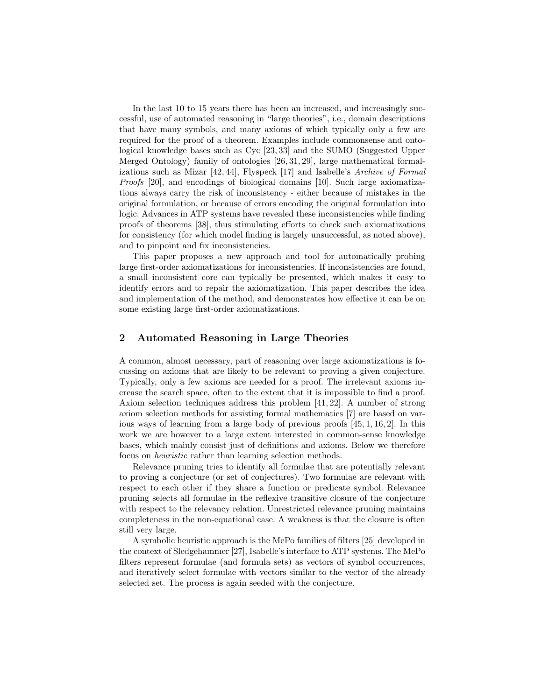In the last 10 to 15 years there has been an increased, and increasingly successful, use of automated reasoning in "large theories", i.e., domain descriptions that have many symbols, and many axioms of which typically only a few are required for the proof of a theorem. Examples include commonsense and ontological knowledge bases such as Cyc [23, 33] and the SUMO (Suggested Upper Merged Ontology) family of ontologies [26, 31, 29], large mathematical formalizations such as Mizar [42, 44], Flyspeck [17] and Isabelle's Archive of Formal Proofs [20], and encodings of biological domains [10]. Such large axiomatizations always carry the risk of inconsistency - either because of mistakes in the original formulation, or because of errors encoding the original formulation into logic. Advances in ATP systems have revealed these inconsistencies while finding proofs of theorems [38], thus stimulating efforts to check such axiomatizations for consistency (for which model finding is largely unsuccessful, as noted above), and to pinpoint and fix inconsistencies.

This paper proposes a new approach and tool for automatically probing large first-order axiomatizations for inconsistencies. If inconsistencies are found, a small inconsistent core can typically be presented, which makes it easy to identify errors and to repair the axiomatization. This paper describes the idea and implementation of the method, and demonstrates how effective it can be on some existing large first-order axiomatizations.

# 2 Automated Reasoning in Large Theories

A common, almost necessary, part of reasoning over large axiomatizations is focussing on axioms that are likely to be relevant to proving a given conjecture. Typically, only a few axioms are needed for a proof. The irrelevant axioms increase the search space, often to the extent that it is impossible to find a proof. Axiom selection techniques address this problem [41, 22]. A number of strong axiom selection methods for assisting formal mathematics [7] are based on various ways of learning from a large body of previous proofs [45, 1, 16, 2]. In this work we are however to a large extent interested in common-sense knowledge bases, which mainly consist just of definitions and axioms. Below we therefore focus on heuristic rather than learning selection methods.

Relevance pruning tries to identify all formulae that are potentially relevant to proving a conjecture (or set of conjectures). Two formulae are relevant with respect to each other if they share a function or predicate symbol. Relevance pruning selects all formulae in the reflexive transitive closure of the conjecture with respect to the relevancy relation. Unrestricted relevance pruning maintains completeness in the non-equational case. A weakness is that the closure is often still very large.

A symbolic heuristic approach is the MePo families of filters [25] developed in the context of Sledgehammer [27], Isabelle's interface to ATP systems. The MePo filters represent formulae (and formula sets) as vectors of symbol occurrences, and iteratively select formulae with vectors similar to the vector of the already selected set. The process is again seeded with the conjecture.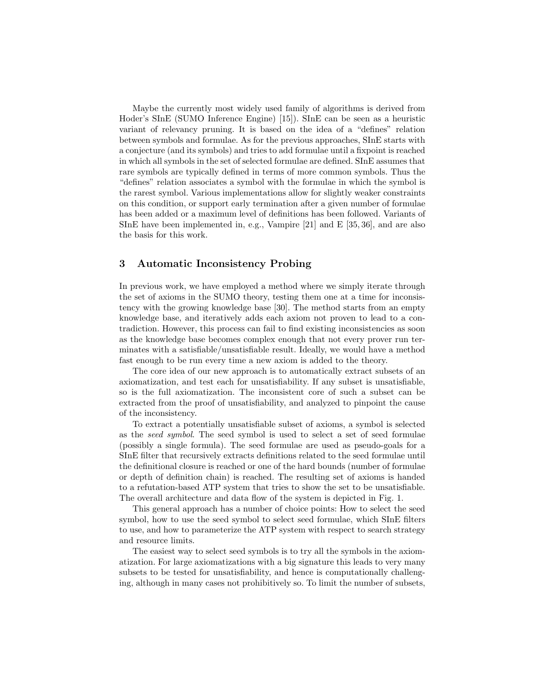Maybe the currently most widely used family of algorithms is derived from Hoder's SInE (SUMO Inference Engine) [15]). SInE can be seen as a heuristic variant of relevancy pruning. It is based on the idea of a "defines" relation between symbols and formulae. As for the previous approaches, SInE starts with a conjecture (and its symbols) and tries to add formulae until a fixpoint is reached in which all symbols in the set of selected formulae are defined. SInE assumes that rare symbols are typically defined in terms of more common symbols. Thus the "defines" relation associates a symbol with the formulae in which the symbol is the rarest symbol. Various implementations allow for slightly weaker constraints on this condition, or support early termination after a given number of formulae has been added or a maximum level of definitions has been followed. Variants of SInE have been implemented in, e.g., Vampire [21] and E [35, 36], and are also the basis for this work.

# 3 Automatic Inconsistency Probing

In previous work, we have employed a method where we simply iterate through the set of axioms in the SUMO theory, testing them one at a time for inconsistency with the growing knowledge base [30]. The method starts from an empty knowledge base, and iteratively adds each axiom not proven to lead to a contradiction. However, this process can fail to find existing inconsistencies as soon as the knowledge base becomes complex enough that not every prover run terminates with a satisfiable/unsatisfiable result. Ideally, we would have a method fast enough to be run every time a new axiom is added to the theory.

The core idea of our new approach is to automatically extract subsets of an axiomatization, and test each for unsatisfiability. If any subset is unsatisfiable, so is the full axiomatization. The inconsistent core of such a subset can be extracted from the proof of unsatisfiability, and analyzed to pinpoint the cause of the inconsistency.

To extract a potentially unsatisfiable subset of axioms, a symbol is selected as the seed symbol. The seed symbol is used to select a set of seed formulae (possibly a single formula). The seed formulae are used as pseudo-goals for a SInE filter that recursively extracts definitions related to the seed formulae until the definitional closure is reached or one of the hard bounds (number of formulae or depth of definition chain) is reached. The resulting set of axioms is handed to a refutation-based ATP system that tries to show the set to be unsatisfiable. The overall architecture and data flow of the system is depicted in Fig. 1.

This general approach has a number of choice points: How to select the seed symbol, how to use the seed symbol to select seed formulae, which SInE filters to use, and how to parameterize the ATP system with respect to search strategy and resource limits.

The easiest way to select seed symbols is to try all the symbols in the axiomatization. For large axiomatizations with a big signature this leads to very many subsets to be tested for unsatisfiability, and hence is computationally challenging, although in many cases not prohibitively so. To limit the number of subsets,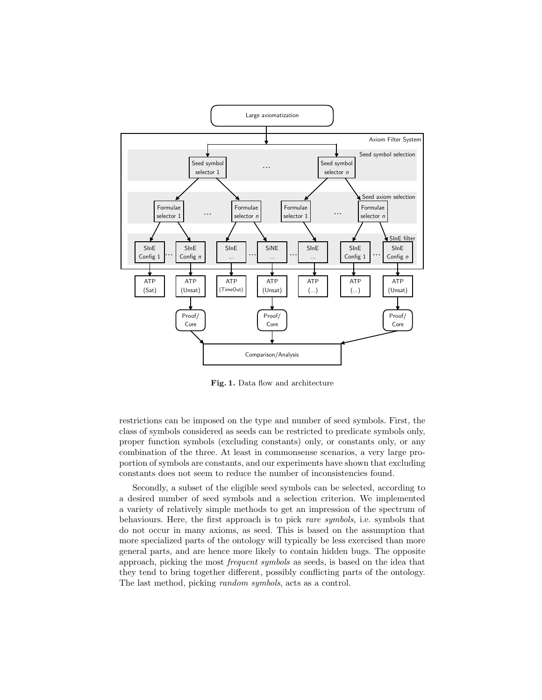

Fig. 1. Data flow and architecture

restrictions can be imposed on the type and number of seed symbols. First, the class of symbols considered as seeds can be restricted to predicate symbols only, proper function symbols (excluding constants) only, or constants only, or any combination of the three. At least in commonsense scenarios, a very large proportion of symbols are constants, and our experiments have shown that excluding constants does not seem to reduce the number of inconsistencies found.

Secondly, a subset of the eligible seed symbols can be selected, according to a desired number of seed symbols and a selection criterion. We implemented a variety of relatively simple methods to get an impression of the spectrum of behaviours. Here, the first approach is to pick rare symbols, i.e. symbols that do not occur in many axioms, as seed. This is based on the assumption that more specialized parts of the ontology will typically be less exercised than more general parts, and are hence more likely to contain hidden bugs. The opposite approach, picking the most frequent symbols as seeds, is based on the idea that they tend to bring together different, possibly conflicting parts of the ontology. The last method, picking random symbols, acts as a control.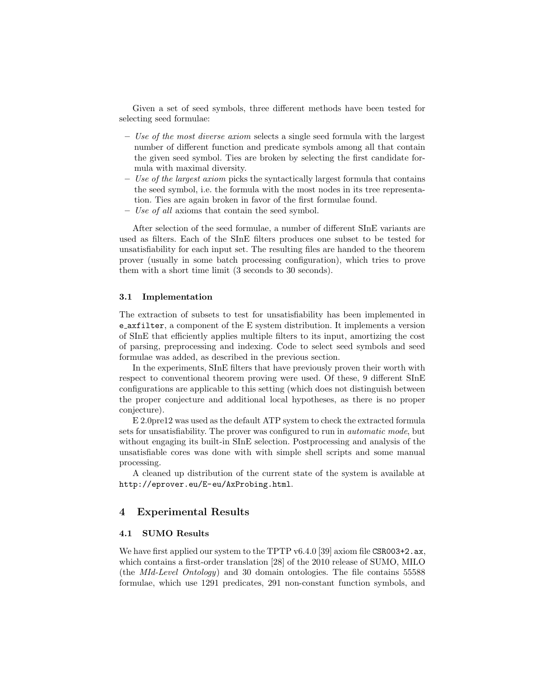Given a set of seed symbols, three different methods have been tested for selecting seed formulae:

- $-$  Use of the most diverse axiom selects a single seed formula with the largest number of different function and predicate symbols among all that contain the given seed symbol. Ties are broken by selecting the first candidate formula with maximal diversity.
- $-$  Use of the largest axiom picks the syntactically largest formula that contains the seed symbol, i.e. the formula with the most nodes in its tree representation. Ties are again broken in favor of the first formulae found.
- Use of all axioms that contain the seed symbol.

After selection of the seed formulae, a number of different SInE variants are used as filters. Each of the SInE filters produces one subset to be tested for unsatisfiability for each input set. The resulting files are handed to the theorem prover (usually in some batch processing configuration), which tries to prove them with a short time limit (3 seconds to 30 seconds).

#### 3.1 Implementation

The extraction of subsets to test for unsatisfiability has been implemented in e axfilter, a component of the E system distribution. It implements a version of SInE that efficiently applies multiple filters to its input, amortizing the cost of parsing, preprocessing and indexing. Code to select seed symbols and seed formulae was added, as described in the previous section.

In the experiments, SInE filters that have previously proven their worth with respect to conventional theorem proving were used. Of these, 9 different SInE configurations are applicable to this setting (which does not distinguish between the proper conjecture and additional local hypotheses, as there is no proper conjecture).

E 2.0pre12 was used as the default ATP system to check the extracted formula sets for unsatisfiability. The prover was configured to run in automatic mode, but without engaging its built-in SInE selection. Postprocessing and analysis of the unsatisfiable cores was done with with simple shell scripts and some manual processing.

A cleaned up distribution of the current state of the system is available at http://eprover.eu/E-eu/AxProbing.html.

# 4 Experimental Results

#### 4.1 SUMO Results

We have first applied our system to the TPTP v6.4.0 [39] axiom file CSR003+2.ax, which contains a first-order translation [28] of the 2010 release of SUMO, MILO (the MId-Level Ontology) and 30 domain ontologies. The file contains 55588 formulae, which use 1291 predicates, 291 non-constant function symbols, and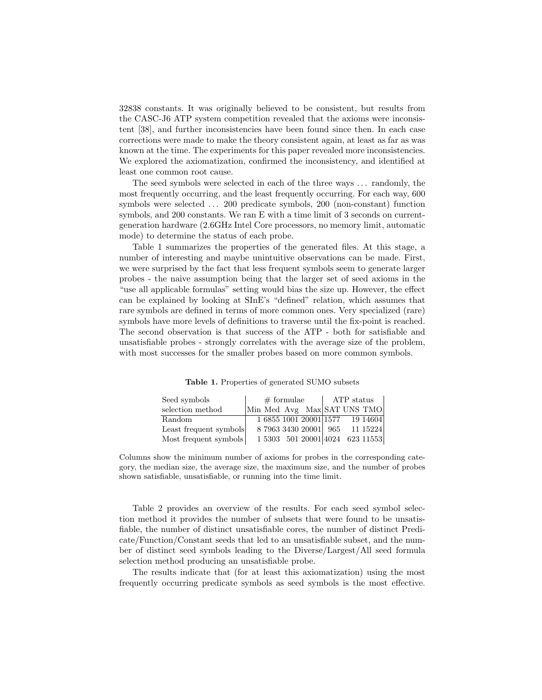32838 constants. It was originally believed to be consistent, but results from the CASC-J6 ATP system competition revealed that the axioms were inconsistent [38], and further inconsistencies have been found since then. In each case corrections were made to make the theory consistent again, at least as far as was known at the time. The experiments for this paper revealed more inconsistencies. We explored the axiomatization, confirmed the inconsistency, and identified at least one common root cause.

The seed symbols were selected in each of the three ways . . . randomly, the most frequently occurring, and the least frequently occurring. For each way, 600 symbols were selected ... 200 predicate symbols, 200 (non-constant) function symbols, and 200 constants. We ran E with a time limit of 3 seconds on currentgeneration hardware (2.6GHz Intel Core processors, no memory limit, automatic mode) to determine the status of each probe.

Table 1 summarizes the properties of the generated files. At this stage, a number of interesting and maybe unintuitive observations can be made. First, we were surprised by the fact that less frequent symbols seem to generate larger probes - the naive assumption being that the larger set of seed axioms in the "use all applicable formulas" setting would bias the size up. However, the effect can be explained by looking at SInE's "defined" relation, which assumes that rare symbols are defined in terms of more common ones. Very specialized (rare) symbols have more levels of definitions to traverse until the fix-point is reached. The second observation is that success of the ATP - both for satisfiable and unsatisfiable probes - strongly correlates with the average size of the problem, with most successes for the smaller probes based on more common symbols.

Table 1. Properties of generated SUMO subsets

| Seed symbols           |  | # formulae | ATP status |  |  |                                 |  |
|------------------------|--|------------|------------|--|--|---------------------------------|--|
| selection method       |  |            |            |  |  | Min Med Avg Max SAT UNS TMO     |  |
| Random                 |  |            |            |  |  | 1 6855 1001 20001 1577 19 14604 |  |
| Least frequent symbols |  |            |            |  |  | 8 7963 3430 20001 965 11 15224  |  |
| Most frequent symbols  |  |            |            |  |  | 1 5303 501 20001 4024 623 11553 |  |

Columns show the minimum number of axioms for probes in the corresponding category, the median size, the average size, the maximum size, and the number of probes shown satisfiable, unsatisfiable, or running into the time limit.

Table 2 provides an overview of the results. For each seed symbol selection method it provides the number of subsets that were found to be unsatisfiable, the number of distinct unsatisfiable cores, the number of distinct Predicate/Function/Constant seeds that led to an unsatisfiable subset, and the number of distinct seed symbols leading to the Diverse/Largest/All seed formula selection method producing an unsatisfiable probe.

The results indicate that (for at least this axiomatization) using the most frequently occurring predicate symbols as seed symbols is the most effective.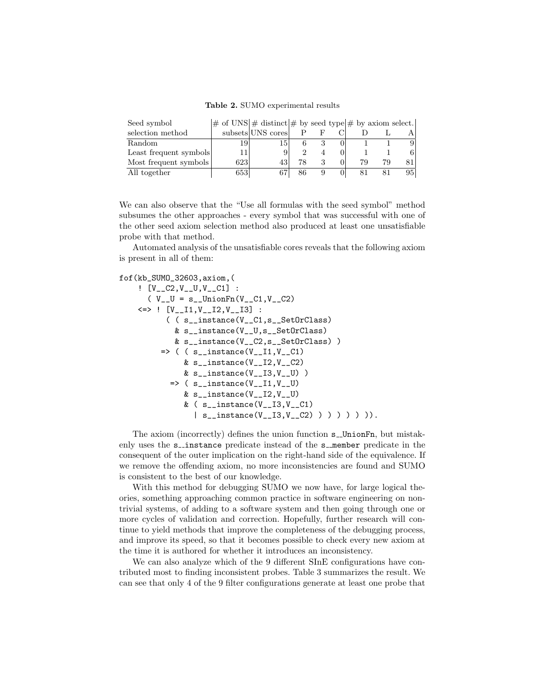Table 2. SUMO experimental results

| Seed symbol            |     | $ \#$ of UNS $ \#$ distinct $ \#$ by seed type $ \#$ by axiom select. |    |  |    |    |    |
|------------------------|-----|-----------------------------------------------------------------------|----|--|----|----|----|
| selection method       |     | subsets UNS cores                                                     |    |  |    |    |    |
| Random                 | 19  | 15                                                                    |    |  |    |    | 91 |
| Least frequent symbols | 11  |                                                                       |    |  |    |    | 61 |
| Most frequent symbols  | 623 | 43                                                                    | 78 |  | 79 | 79 | 81 |
| All together           | 653 | 67                                                                    | 86 |  |    |    | 95 |

We can also observe that the "Use all formulas with the seed symbol" method subsumes the other approaches - every symbol that was successful with one of the other seed axiom selection method also produced at least one unsatisfiable probe with that method.

Automated analysis of the unsatisfiable cores reveals that the following axiom is present in all of them:

fof(kb\_SUMO\_32603,axiom,(

```
[V_C_2, V_U, V_C_1] :
   (V_U = s_U \nInionFn(V_C1, V_C2)\leftarrow : [V_{-11}, V_{-12}, V_{-13}] :
          ( ( s__instance(V__C1,s__SetOrClass)
             & s__instance(V__U,s__SetOrClass)
             & s__instance(V__C2,s__SetOrClass) )
        \Rightarrow ( (s_{\text{1}}instance(V<sub>-11,V<sub>-</sub>C1)</sub>
                 & s_{\texttt{--}}\text{instance}(V_{\texttt{--}}I2,V_{\texttt{--}}C2)& s_{\texttt{--}}\text{instance}(V_{\texttt{--}}I3,V_{\texttt{--}}U) )
           \Rightarrow (s_{\text{--}}instance(V<sub>--</sub>I1,V<sub>--</sub>U)
                & s_{\texttt{--}}\text{instance}(V_{\texttt{--}}I2,V_{\texttt{--}}U)& (s_instance(V__I3,V__C1)
                    | s_{\texttt{__} \texttt{instance}}(V_{\texttt{__} }I3,V_{\texttt{__}}C2) ) ) ) ) ) ) ) ).
```
The axiom (incorrectly) defines the union function  $s$ -UnionFn, but mistakenly uses the s<sub>ripredicate</sub> predicate instead of the s<sub>r</sub>member predicate in the consequent of the outer implication on the right-hand side of the equivalence. If we remove the offending axiom, no more inconsistencies are found and SUMO is consistent to the best of our knowledge.

With this method for debugging SUMO we now have, for large logical theories, something approaching common practice in software engineering on nontrivial systems, of adding to a software system and then going through one or more cycles of validation and correction. Hopefully, further research will continue to yield methods that improve the completeness of the debugging process, and improve its speed, so that it becomes possible to check every new axiom at the time it is authored for whether it introduces an inconsistency.

We can also analyze which of the 9 different SInE configurations have contributed most to finding inconsistent probes. Table 3 summarizes the result. We can see that only 4 of the 9 filter configurations generate at least one probe that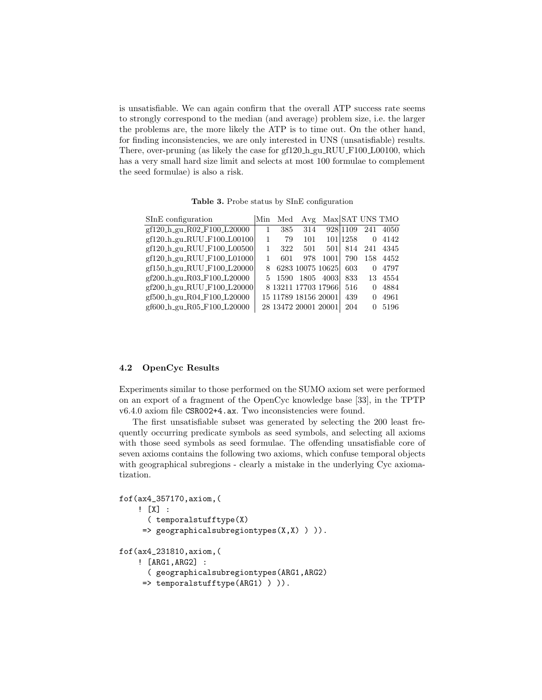is unsatisfiable. We can again confirm that the overall ATP success rate seems to strongly correspond to the median (and average) problem size, i.e. the larger the problems are, the more likely the ATP is to time out. On the other hand, for finding inconsistencies, we are only interested in UNS (unsatisfiable) results. There, over-pruning (as likely the case for gf120 h gu RUU F100 L00100, which has a very small hard size limit and selects at most 100 formulae to complement the seed formulae) is also a risk.

Table 3. Probe status by SInE configuration

| SInE configuration         | Min   | Med                  | Avg |                  |          |              | Max SAT UNS TMO |
|----------------------------|-------|----------------------|-----|------------------|----------|--------------|-----------------|
| gf120_h_gu_R02_F100_L20000 | 1     | 385                  | 314 |                  |          | 928 1109 241 | 4050            |
| gf120_h_gu_RUU_F100_L00100 | 1     | 79                   | 101 |                  | 101 1258 | $\Omega$     | 4142            |
| gf120_h_gu_RUU_F100_L00500 | 1.    | 322                  | 501 | 5011             |          | 814 241      | 4345            |
| gf120_h_gu_RUU_F100_L01000 | 1     | 601                  | 978 | 1001             | 790      | 158          | 4452            |
| gf150_h_gu_RUU_F100_L20000 | 8     |                      |     | 6283 10075 10625 | 603      | 0            | 4797            |
| gf200_h_gu_R03_F100_L20000 | $5 -$ | 1590                 |     | 1805 4003        | 833      | 13           | 4554            |
| gf200_h_gu_RUU_F100_L20000 |       | 8 13211 17703 17966  |     |                  | 516      | 0            | 4884            |
| gf500_h_gu_R04_F100_L20000 |       | 15 11789 18156 20001 |     |                  | 439      | 0            | 4961            |
| gf600_h_gu_R05_F100_L20000 |       | 28 13472 20001 20001 |     |                  | 204      | 0            | 5196            |

#### 4.2 OpenCyc Results

Experiments similar to those performed on the SUMO axiom set were performed on an export of a fragment of the OpenCyc knowledge base [33], in the TPTP v6.4.0 axiom file CSR002+4.ax. Two inconsistencies were found.

The first unsatisfiable subset was generated by selecting the 200 least frequently occurring predicate symbols as seed symbols, and selecting all axioms with those seed symbols as seed formulae. The offending unsatisfiable core of seven axioms contains the following two axioms, which confuse temporal objects with geographical subregions - clearly a mistake in the underlying Cyc axiomatization.

```
fof(ax4_357170,axiom,(
    ! [X] :
      ( temporalstufftype(X)
     => geographicalsubregiontypes(X,X) ) )).
fof(ax4_231810,axiom,(
    ! [ARG1,ARG2] :
      ( geographicalsubregiontypes(ARG1,ARG2)
     => temporalstufftype(ARG1) ) )).
```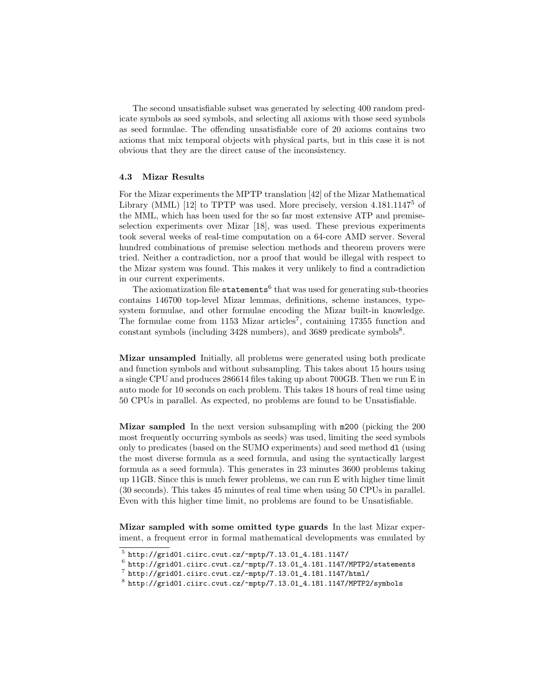The second unsatisfiable subset was generated by selecting 400 random predicate symbols as seed symbols, and selecting all axioms with those seed symbols as seed formulae. The offending unsatisfiable core of 20 axioms contains two axioms that mix temporal objects with physical parts, but in this case it is not obvious that they are the direct cause of the inconsistency.

#### 4.3 Mizar Results

For the Mizar experiments the MPTP translation [42] of the Mizar Mathematical Library (MML) [12] to TPTP was used. More precisely, version 4.181.1147<sup>5</sup> of the MML, which has been used for the so far most extensive ATP and premiseselection experiments over Mizar [18], was used. These previous experiments took several weeks of real-time computation on a 64-core AMD server. Several hundred combinations of premise selection methods and theorem provers were tried. Neither a contradiction, nor a proof that would be illegal with respect to the Mizar system was found. This makes it very unlikely to find a contradiction in our current experiments.

The axiomatization file  ${\tt statements}^6$  that was used for generating sub-theories contains 146700 top-level Mizar lemmas, definitions, scheme instances, typesystem formulae, and other formulae encoding the Mizar built-in knowledge. The formulae come from 1153 Mizar articles<sup>7</sup>, containing 17355 function and constant symbols (including 3428 numbers), and 3689 predicate symbols<sup>8</sup>.

Mizar unsampled Initially, all problems were generated using both predicate and function symbols and without subsampling. This takes about 15 hours using a single CPU and produces 286614 files taking up about 700GB. Then we run E in auto mode for 10 seconds on each problem. This takes 18 hours of real time using 50 CPUs in parallel. As expected, no problems are found to be Unsatisfiable.

Mizar sampled In the next version subsampling with m200 (picking the 200 most frequently occurring symbols as seeds) was used, limiting the seed symbols only to predicates (based on the SUMO experiments) and seed method dl (using the most diverse formula as a seed formula, and using the syntactically largest formula as a seed formula). This generates in 23 minutes 3600 problems taking up 11GB. Since this is much fewer problems, we can run E with higher time limit (30 seconds). This takes 45 minutes of real time when using 50 CPUs in parallel. Even with this higher time limit, no problems are found to be Unsatisfiable.

Mizar sampled with some omitted type guards In the last Mizar experiment, a frequent error in formal mathematical developments was emulated by

 $\frac{6}{5}$  http://grid01.ciirc.cvut.cz/~mptp/7.13.01\_4.181.1147/MPTP2/statements

 $\frac{5}{3}$  http://grid01.ciirc.cvut.cz/~mptp/7.13.01\_4.181.1147/

 $\frac{7}{10}$  http://grid01.ciirc.cvut.cz/~mptp/7.13.01\_4.181.1147/html/

 $^8$  http://grid01.ciirc.cvut.cz/~mptp/7.13.01\_4.181.1147/MPTP2/symbols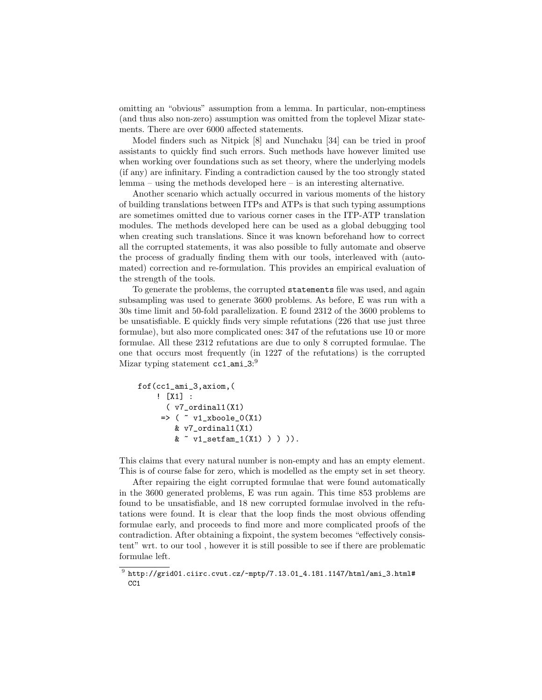omitting an "obvious" assumption from a lemma. In particular, non-emptiness (and thus also non-zero) assumption was omitted from the toplevel Mizar statements. There are over 6000 affected statements.

Model finders such as Nitpick [8] and Nunchaku [34] can be tried in proof assistants to quickly find such errors. Such methods have however limited use when working over foundations such as set theory, where the underlying models (if any) are infinitary. Finding a contradiction caused by the too strongly stated lemma – using the methods developed here – is an interesting alternative.

Another scenario which actually occurred in various moments of the history of building translations between ITPs and ATPs is that such typing assumptions are sometimes omitted due to various corner cases in the ITP-ATP translation modules. The methods developed here can be used as a global debugging tool when creating such translations. Since it was known beforehand how to correct all the corrupted statements, it was also possible to fully automate and observe the process of gradually finding them with our tools, interleaved with (automated) correction and re-formulation. This provides an empirical evaluation of the strength of the tools.

To generate the problems, the corrupted statements file was used, and again subsampling was used to generate 3600 problems. As before, E was run with a 30s time limit and 50-fold parallelization. E found 2312 of the 3600 problems to be unsatisfiable. E quickly finds very simple refutations (226 that use just three formulae), but also more complicated ones: 347 of the refutations use 10 or more formulae. All these 2312 refutations are due to only 8 corrupted formulae. The one that occurs most frequently (in 1227 of the refutations) is the corrupted Mizar typing statement cc1\_ami\_3:<sup>9</sup>

```
fof(cc1_ami_3,axiom,(
    ! [X1] :
      ( v7_ordinal1(X1)
     \Rightarrow ( \sim v1_xboole_0(X1)
         & v7_ordinal1(X1)
         & ~~ v1_setfam_1(X1) ) ) ).
```
This claims that every natural number is non-empty and has an empty element. This is of course false for zero, which is modelled as the empty set in set theory.

After repairing the eight corrupted formulae that were found automatically in the 3600 generated problems, E was run again. This time 853 problems are found to be unsatisfiable, and 18 new corrupted formulae involved in the refutations were found. It is clear that the loop finds the most obvious offending formulae early, and proceeds to find more and more complicated proofs of the contradiction. After obtaining a fixpoint, the system becomes "effectively consistent" wrt. to our tool , however it is still possible to see if there are problematic formulae left.

 $^9$  http://grid01.ciirc.cvut.cz/~mptp/7.13.01\_4.181.1147/html/ami\_3.html# CC1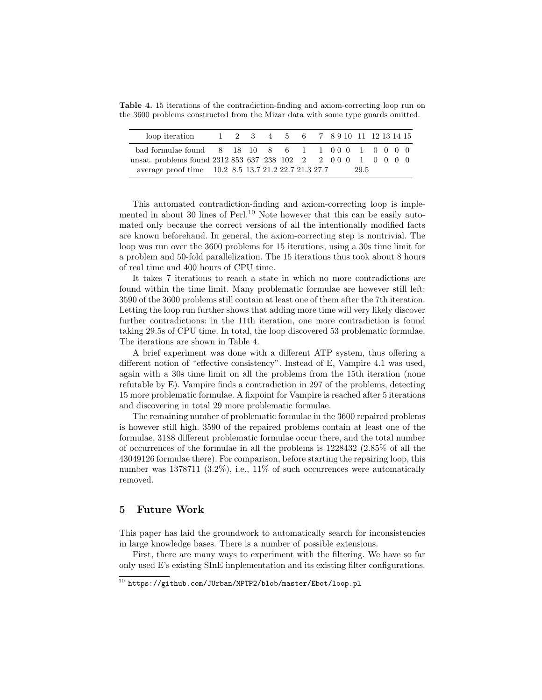Table 4. 15 iterations of the contradiction-finding and axiom-correcting loop run on the 3600 problems constructed from the Mizar data with some type guards omitted.

| loop iteration                                                 | 1 2 3 4 5 6 7 8 9 10 11 12 13 14 15 |  |  |  |  |      |  |  |
|----------------------------------------------------------------|-------------------------------------|--|--|--|--|------|--|--|
| bad formulae found 8 18 10 8 6 1 1 0 0 0 1 0 0 0 0             |                                     |  |  |  |  |      |  |  |
| unsat. problems found 2312 853 637 238 102 2 2 0 0 0 1 0 0 0 0 |                                     |  |  |  |  |      |  |  |
| average proof time 10.2 8.5 13.7 21.2 22.7 21.3 27.7           |                                     |  |  |  |  | 29.5 |  |  |

This automated contradiction-finding and axiom-correcting loop is implemented in about 30 lines of Perl.<sup>10</sup> Note however that this can be easily automated only because the correct versions of all the intentionally modified facts are known beforehand. In general, the axiom-correcting step is nontrivial. The loop was run over the 3600 problems for 15 iterations, using a 30s time limit for a problem and 50-fold parallelization. The 15 iterations thus took about 8 hours of real time and 400 hours of CPU time.

It takes 7 iterations to reach a state in which no more contradictions are found within the time limit. Many problematic formulae are however still left: 3590 of the 3600 problems still contain at least one of them after the 7th iteration. Letting the loop run further shows that adding more time will very likely discover further contradictions: in the 11th iteration, one more contradiction is found taking 29.5s of CPU time. In total, the loop discovered 53 problematic formulae. The iterations are shown in Table 4.

A brief experiment was done with a different ATP system, thus offering a different notion of "effective consistency". Instead of E, Vampire 4.1 was used, again with a 30s time limit on all the problems from the 15th iteration (none refutable by E). Vampire finds a contradiction in 297 of the problems, detecting 15 more problematic formulae. A fixpoint for Vampire is reached after 5 iterations and discovering in total 29 more problematic formulae.

The remaining number of problematic formulae in the 3600 repaired problems is however still high. 3590 of the repaired problems contain at least one of the formulae, 3188 different problematic formulae occur there, and the total number of occurrences of the formulae in all the problems is 1228432 (2.85% of all the 43049126 formulae there). For comparison, before starting the repairing loop, this number was  $1378711$   $(3.2\%)$ , i.e.,  $11\%$  of such occurrences were automatically removed.

# 5 Future Work

This paper has laid the groundwork to automatically search for inconsistencies in large knowledge bases. There is a number of possible extensions.

First, there are many ways to experiment with the filtering. We have so far only used E's existing SInE implementation and its existing filter configurations.

 $\frac{10}{10}$  https://github.com/JUrban/MPTP2/blob/master/Ebot/loop.pl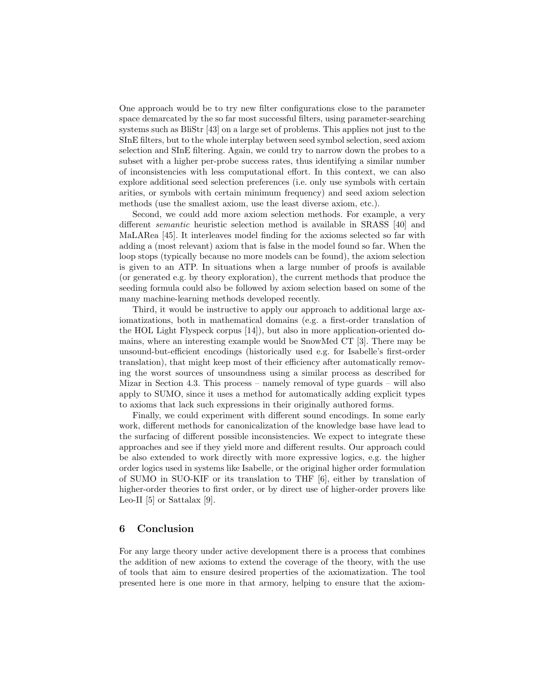One approach would be to try new filter configurations close to the parameter space demarcated by the so far most successful filters, using parameter-searching systems such as BliStr [43] on a large set of problems. This applies not just to the SInE filters, but to the whole interplay between seed symbol selection, seed axiom selection and SInE filtering. Again, we could try to narrow down the probes to a subset with a higher per-probe success rates, thus identifying a similar number of inconsistencies with less computational effort. In this context, we can also explore additional seed selection preferences (i.e. only use symbols with certain arities, or symbols with certain minimum frequency) and seed axiom selection methods (use the smallest axiom, use the least diverse axiom, etc.).

Second, we could add more axiom selection methods. For example, a very different semantic heuristic selection method is available in SRASS [40] and MaLARea [45]. It interleaves model finding for the axioms selected so far with adding a (most relevant) axiom that is false in the model found so far. When the loop stops (typically because no more models can be found), the axiom selection is given to an ATP. In situations when a large number of proofs is available (or generated e.g. by theory exploration), the current methods that produce the seeding formula could also be followed by axiom selection based on some of the many machine-learning methods developed recently.

Third, it would be instructive to apply our approach to additional large axiomatizations, both in mathematical domains (e.g. a first-order translation of the HOL Light Flyspeck corpus [14]), but also in more application-oriented domains, where an interesting example would be SnowMed CT [3]. There may be unsound-but-efficient encodings (historically used e.g. for Isabelle's first-order translation), that might keep most of their efficiency after automatically removing the worst sources of unsoundness using a similar process as described for Mizar in Section 4.3. This process – namely removal of type guards – will also apply to SUMO, since it uses a method for automatically adding explicit types to axioms that lack such expressions in their originally authored forms.

Finally, we could experiment with different sound encodings. In some early work, different methods for canonicalization of the knowledge base have lead to the surfacing of different possible inconsistencies. We expect to integrate these approaches and see if they yield more and different results. Our approach could be also extended to work directly with more expressive logics, e.g. the higher order logics used in systems like Isabelle, or the original higher order formulation of SUMO in SUO-KIF or its translation to THF [6], either by translation of higher-order theories to first order, or by direct use of higher-order provers like Leo-II  $[5]$  or Sattalax  $[9]$ .

### 6 Conclusion

For any large theory under active development there is a process that combines the addition of new axioms to extend the coverage of the theory, with the use of tools that aim to ensure desired properties of the axiomatization. The tool presented here is one more in that armory, helping to ensure that the axiom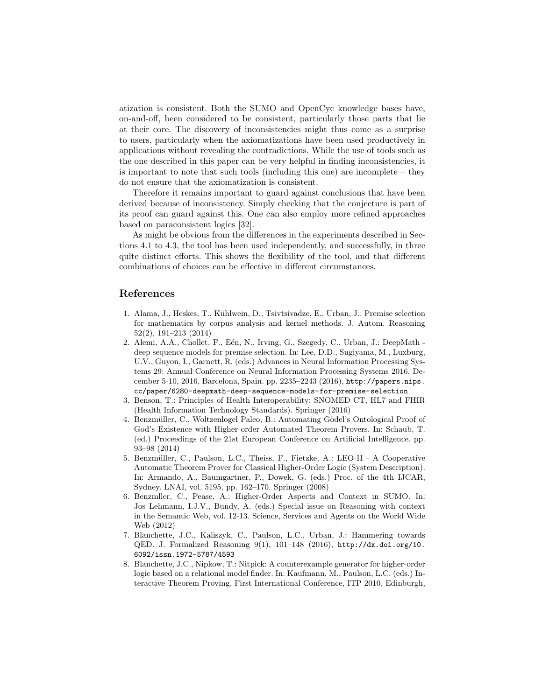atization is consistent. Both the SUMO and OpenCyc knowledge bases have, on-and-off, been considered to be consistent, particularly those parts that lie at their core. The discovery of inconsistencies might thus come as a surprise to users, particularly when the axiomatizations have been used productively in applications without revealing the contradictions. While the use of tools such as the one described in this paper can be very helpful in finding inconsistencies, it is important to note that such tools (including this one) are incomplete – they do not ensure that the axiomatization is consistent.

Therefore it remains important to guard against conclusions that have been derived because of inconsistency. Simply checking that the conjecture is part of its proof can guard against this. One can also employ more refined approaches based on paraconsistent logics [32].

As might be obvious from the differences in the experiments described in Sections 4.1 to 4.3, the tool has been used independently, and successfully, in three quite distinct efforts. This shows the flexibility of the tool, and that different combinations of choices can be effective in different circumstances.

# References

- 1. Alama, J., Heskes, T., Kühlwein, D., Tsivtsivadze, E., Urban, J.: Premise selection for mathematics by corpus analysis and kernel methods. J. Autom. Reasoning 52(2), 191–213 (2014)
- 2. Alemi, A.A., Chollet, F., Eén, N., Irving, G., Szegedy, C., Urban, J.: DeepMath deep sequence models for premise selection. In: Lee, D.D., Sugiyama, M., Luxburg, U.V., Guyon, I., Garnett, R. (eds.) Advances in Neural Information Processing Systems 29: Annual Conference on Neural Information Processing Systems 2016, December 5-10, 2016, Barcelona, Spain. pp. 2235–2243 (2016), http://papers.nips. cc/paper/6280-deepmath-deep-sequence-models-for-premise-selection
- 3. Benson, T.: Principles of Health Interoperability: SNOMED CT, HL7 and FHIR (Health Information Technology Standards). Springer (2016)
- 4. Benzmüller, C., Woltzenlogel Paleo, B.: Automating Gödel's Ontological Proof of God's Existence with Higher-order Automated Theorem Provers. In: Schaub, T. (ed.) Proceedings of the 21st European Conference on Artificial Intelligence. pp. 93–98 (2014)
- 5. Benzmüller, C., Paulson, L.C., Theiss, F., Fietzke, A.: LEO-II A Cooperative Automatic Theorem Prover for Classical Higher-Order Logic (System Description). In: Armando, A., Baumgartner, P., Dowek, G. (eds.) Proc. of the 4th IJCAR, Sydney. LNAI, vol. 5195, pp. 162–170. Springer (2008)
- 6. Benzmller, C., Pease, A.: Higher-Order Aspects and Context in SUMO. In: Jos Lehmann, I.J.V., Bundy, A. (eds.) Special issue on Reasoning with context in the Semantic Web, vol. 12-13. Science, Services and Agents on the World Wide Web (2012)
- 7. Blanchette, J.C., Kaliszyk, C., Paulson, L.C., Urban, J.: Hammering towards QED. J. Formalized Reasoning 9(1), 101–148 (2016), http://dx.doi.org/10. 6092/issn.1972-5787/4593
- 8. Blanchette, J.C., Nipkow, T.: Nitpick: A counterexample generator for higher-order logic based on a relational model finder. In: Kaufmann, M., Paulson, L.C. (eds.) Interactive Theorem Proving, First International Conference, ITP 2010, Edinburgh,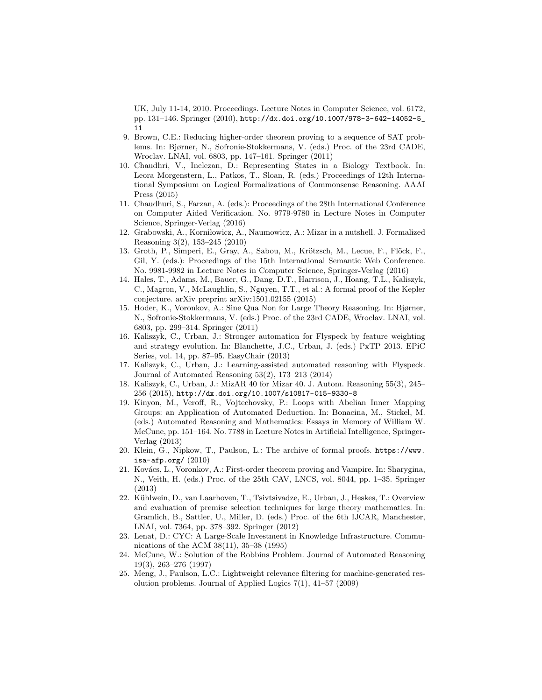UK, July 11-14, 2010. Proceedings. Lecture Notes in Computer Science, vol. 6172, pp. 131–146. Springer (2010), http://dx.doi.org/10.1007/978-3-642-14052-5\_ 11

- 9. Brown, C.E.: Reducing higher-order theorem proving to a sequence of SAT problems. In: Bjørner, N., Sofronie-Stokkermans, V. (eds.) Proc. of the 23rd CADE, Wroclav. LNAI, vol. 6803, pp. 147–161. Springer (2011)
- 10. Chaudhri, V., Inclezan, D.: Representing States in a Biology Textbook. In: Leora Morgenstern, L., Patkos, T., Sloan, R. (eds.) Proceedings of 12th International Symposium on Logical Formalizations of Commonsense Reasoning. AAAI Press (2015)
- 11. Chaudhuri, S., Farzan, A. (eds.): Proceedings of the 28th International Conference on Computer Aided Verification. No. 9779-9780 in Lecture Notes in Computer Science, Springer-Verlag (2016)
- 12. Grabowski, A., Korniłowicz, A., Naumowicz, A.: Mizar in a nutshell. J. Formalized Reasoning 3(2), 153–245 (2010)
- 13. Groth, P., Simperi, E., Gray, A., Sabou, M., Krötzsch, M., Lecue, F., Flöck, F., Gil, Y. (eds.): Proceedings of the 15th International Semantic Web Conference. No. 9981-9982 in Lecture Notes in Computer Science, Springer-Verlag (2016)
- 14. Hales, T., Adams, M., Bauer, G., Dang, D.T., Harrison, J., Hoang, T.L., Kaliszyk, C., Magron, V., McLaughlin, S., Nguyen, T.T., et al.: A formal proof of the Kepler conjecture. arXiv preprint arXiv:1501.02155 (2015)
- 15. Hoder, K., Voronkov, A.: Sine Qua Non for Large Theory Reasoning. In: Bjørner, N., Sofronie-Stokkermans, V. (eds.) Proc. of the 23rd CADE, Wroclav. LNAI, vol. 6803, pp. 299–314. Springer (2011)
- 16. Kaliszyk, C., Urban, J.: Stronger automation for Flyspeck by feature weighting and strategy evolution. In: Blanchette, J.C., Urban, J. (eds.) PxTP 2013. EPiC Series, vol. 14, pp. 87–95. EasyChair (2013)
- 17. Kaliszyk, C., Urban, J.: Learning-assisted automated reasoning with Flyspeck. Journal of Automated Reasoning 53(2), 173–213 (2014)
- 18. Kaliszyk, C., Urban, J.: MizAR 40 for Mizar 40. J. Autom. Reasoning 55(3), 245– 256 (2015), http://dx.doi.org/10.1007/s10817-015-9330-8
- 19. Kinyon, M., Veroff, R., Vojtechovsky, P.: Loops with Abelian Inner Mapping Groups: an Application of Automated Deduction. In: Bonacina, M., Stickel, M. (eds.) Automated Reasoning and Mathematics: Essays in Memory of William W. McCune, pp. 151–164. No. 7788 in Lecture Notes in Artificial Intelligence, Springer-Verlag (2013)
- 20. Klein, G., Nipkow, T., Paulson, L.: The archive of formal proofs. https://www. isa-afp.org/ $(2010)$
- 21. Kovács, L., Voronkov, A.: First-order theorem proving and Vampire. In: Sharygina, N., Veith, H. (eds.) Proc. of the 25th CAV, LNCS, vol. 8044, pp. 1–35. Springer (2013)
- 22. Kühlwein, D., van Laarhoven, T., Tsivtsivadze, E., Urban, J., Heskes, T.: Overview and evaluation of premise selection techniques for large theory mathematics. In: Gramlich, B., Sattler, U., Miller, D. (eds.) Proc. of the 6th IJCAR, Manchester, LNAI, vol. 7364, pp. 378–392. Springer (2012)
- 23. Lenat, D.: CYC: A Large-Scale Investment in Knowledge Infrastructure. Communications of the ACM 38(11), 35–38 (1995)
- 24. McCune, W.: Solution of the Robbins Problem. Journal of Automated Reasoning 19(3), 263–276 (1997)
- 25. Meng, J., Paulson, L.C.: Lightweight relevance filtering for machine-generated resolution problems. Journal of Applied Logics 7(1), 41–57 (2009)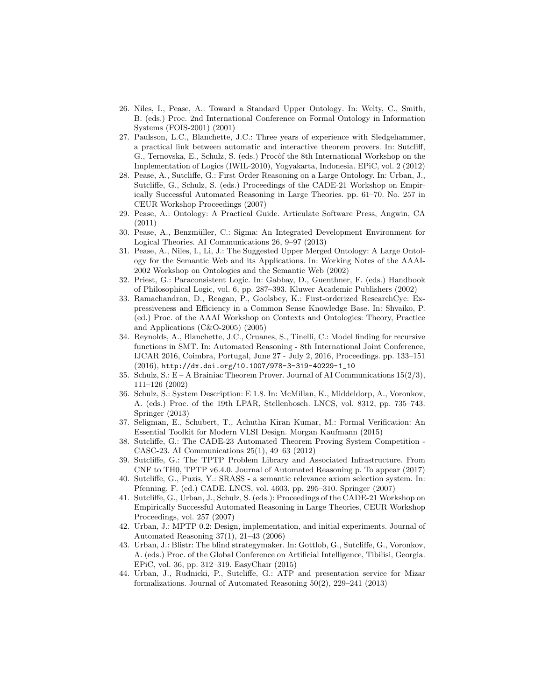- 26. Niles, I., Pease, A.: Toward a Standard Upper Ontology. In: Welty, C., Smith, B. (eds.) Proc. 2nd International Conference on Formal Ontology in Information Systems (FOIS-2001) (2001)
- 27. Paulsson, L.C., Blanchette, J.C.: Three years of experience with Sledgehammer, a practical link between automatic and interactive theorem provers. In: Sutcliff, G., Ternovska, E., Schulz, S. (eds.) Procof the 8th International Workshop on the Implementation of Logics (IWIL-2010), Yogyakarta, Indonesia. EPiC, vol. 2 (2012)
- 28. Pease, A., Sutcliffe, G.: First Order Reasoning on a Large Ontology. In: Urban, J., Sutcliffe, G., Schulz, S. (eds.) Proceedings of the CADE-21 Workshop on Empirically Successful Automated Reasoning in Large Theories. pp. 61–70. No. 257 in CEUR Workshop Proceedings (2007)
- 29. Pease, A.: Ontology: A Practical Guide. Articulate Software Press, Angwin, CA (2011)
- 30. Pease, A., Benzmüller, C.: Sigma: An Integrated Development Environment for Logical Theories. AI Communications 26, 9–97 (2013)
- 31. Pease, A., Niles, I., Li, J.: The Suggested Upper Merged Ontology: A Large Ontology for the Semantic Web and its Applications. In: Working Notes of the AAAI-2002 Workshop on Ontologies and the Semantic Web (2002)
- 32. Priest, G.: Paraconsistent Logic. In: Gabbay, D., Guenthner, F. (eds.) Handbook of Philosophical Logic, vol. 6, pp. 287–393. Kluwer Academic Publishers (2002)
- 33. Ramachandran, D., Reagan, P., Goolsbey, K.: First-orderized ResearchCyc: Expressiveness and Efficiency in a Common Sense Knowledge Base. In: Shvaiko, P. (ed.) Proc. of the AAAI Workshop on Contexts and Ontologies: Theory, Practice and Applications (C&O-2005) (2005)
- 34. Reynolds, A., Blanchette, J.C., Cruanes, S., Tinelli, C.: Model finding for recursive functions in SMT. In: Automated Reasoning - 8th International Joint Conference, IJCAR 2016, Coimbra, Portugal, June 27 - July 2, 2016, Proceedings. pp. 133–151 (2016), http://dx.doi.org/10.1007/978-3-319-40229-1\_10
- 35. Schulz, S.: E A Brainiac Theorem Prover. Journal of AI Communications 15(2/3), 111–126 (2002)
- 36. Schulz, S.: System Description: E 1.8. In: McMillan, K., Middeldorp, A., Voronkov, A. (eds.) Proc. of the 19th LPAR, Stellenbosch. LNCS, vol. 8312, pp. 735–743. Springer (2013)
- 37. Seligman, E., Schubert, T., Achutha Kiran Kumar, M.: Formal Verification: An Essential Toolkit for Modern VLSI Design. Morgan Kaufmann (2015)
- 38. Sutcliffe, G.: The CADE-23 Automated Theorem Proving System Competition CASC-23. AI Communications 25(1), 49–63 (2012)
- 39. Sutcliffe, G.: The TPTP Problem Library and Associated Infrastructure. From CNF to TH0, TPTP v6.4.0. Journal of Automated Reasoning p. To appear (2017)
- 40. Sutcliffe, G., Puzis, Y.: SRASS a semantic relevance axiom selection system. In: Pfenning, F. (ed.) CADE. LNCS, vol. 4603, pp. 295–310. Springer (2007)
- 41. Sutcliffe, G., Urban, J., Schulz, S. (eds.): Proceedings of the CADE-21 Workshop on Empirically Successful Automated Reasoning in Large Theories, CEUR Workshop Proceedings, vol. 257 (2007)
- 42. Urban, J.: MPTP 0.2: Design, implementation, and initial experiments. Journal of Automated Reasoning 37(1), 21–43 (2006)
- 43. Urban, J.: Blistr: The blind strategymaker. In: Gottlob, G., Sutcliffe, G., Voronkov, A. (eds.) Proc. of the Global Conference on Artificial Intelligence, Tibilisi, Georgia. EPiC, vol. 36, pp. 312–319. EasyChair (2015)
- 44. Urban, J., Rudnicki, P., Sutcliffe, G.: ATP and presentation service for Mizar formalizations. Journal of Automated Reasoning 50(2), 229–241 (2013)